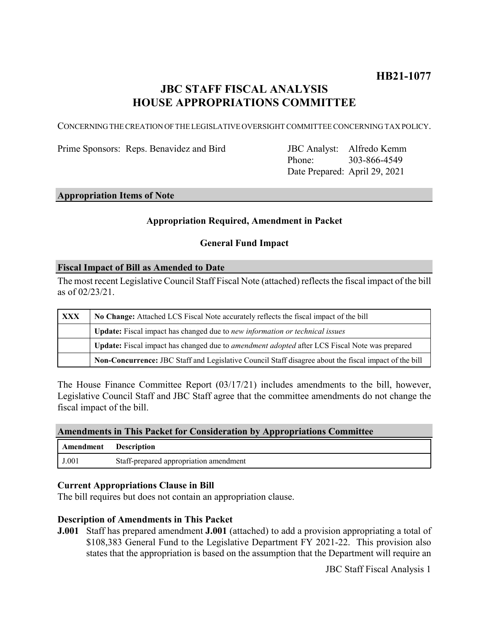# **HB21-1077**

# **JBC STAFF FISCAL ANALYSIS HOUSE APPROPRIATIONS COMMITTEE**

CONCERNING THE CREATION OF THE LEGISLATIVE OVERSIGHT COMMITTEE CONCERNING TAX POLICY.

Prime Sponsors: Reps. Benavidez and Bird

Phone: Date Prepared: April 29, 2021 JBC Analyst: Alfredo Kemm 303-866-4549

# **Appropriation Items of Note**

## **Appropriation Required, Amendment in Packet**

### **General Fund Impact**

#### **Fiscal Impact of Bill as Amended to Date**

The most recent Legislative Council Staff Fiscal Note (attached) reflects the fiscal impact of the bill as of 02/23/21.

| <b>XXX</b> | No Change: Attached LCS Fiscal Note accurately reflects the fiscal impact of the bill                 |
|------------|-------------------------------------------------------------------------------------------------------|
|            | <b>Update:</b> Fiscal impact has changed due to new information or technical issues                   |
|            | Update: Fiscal impact has changed due to <i>amendment adopted</i> after LCS Fiscal Note was prepared  |
|            | Non-Concurrence: JBC Staff and Legislative Council Staff disagree about the fiscal impact of the bill |

The House Finance Committee Report (03/17/21) includes amendments to the bill, however, Legislative Council Staff and JBC Staff agree that the committee amendments do not change the fiscal impact of the bill.

#### **Amendments in This Packet for Consideration by Appropriations Committee**

| Amendment | <b>Description</b>                     |
|-----------|----------------------------------------|
| J.001     | Staff-prepared appropriation amendment |

#### **Current Appropriations Clause in Bill**

The bill requires but does not contain an appropriation clause.

#### **Description of Amendments in This Packet**

**J.001** Staff has prepared amendment **J.001** (attached) to add a provision appropriating a total of \$108,383 General Fund to the Legislative Department FY 2021-22. This provision also states that the appropriation is based on the assumption that the Department will require an

JBC Staff Fiscal Analysis 1